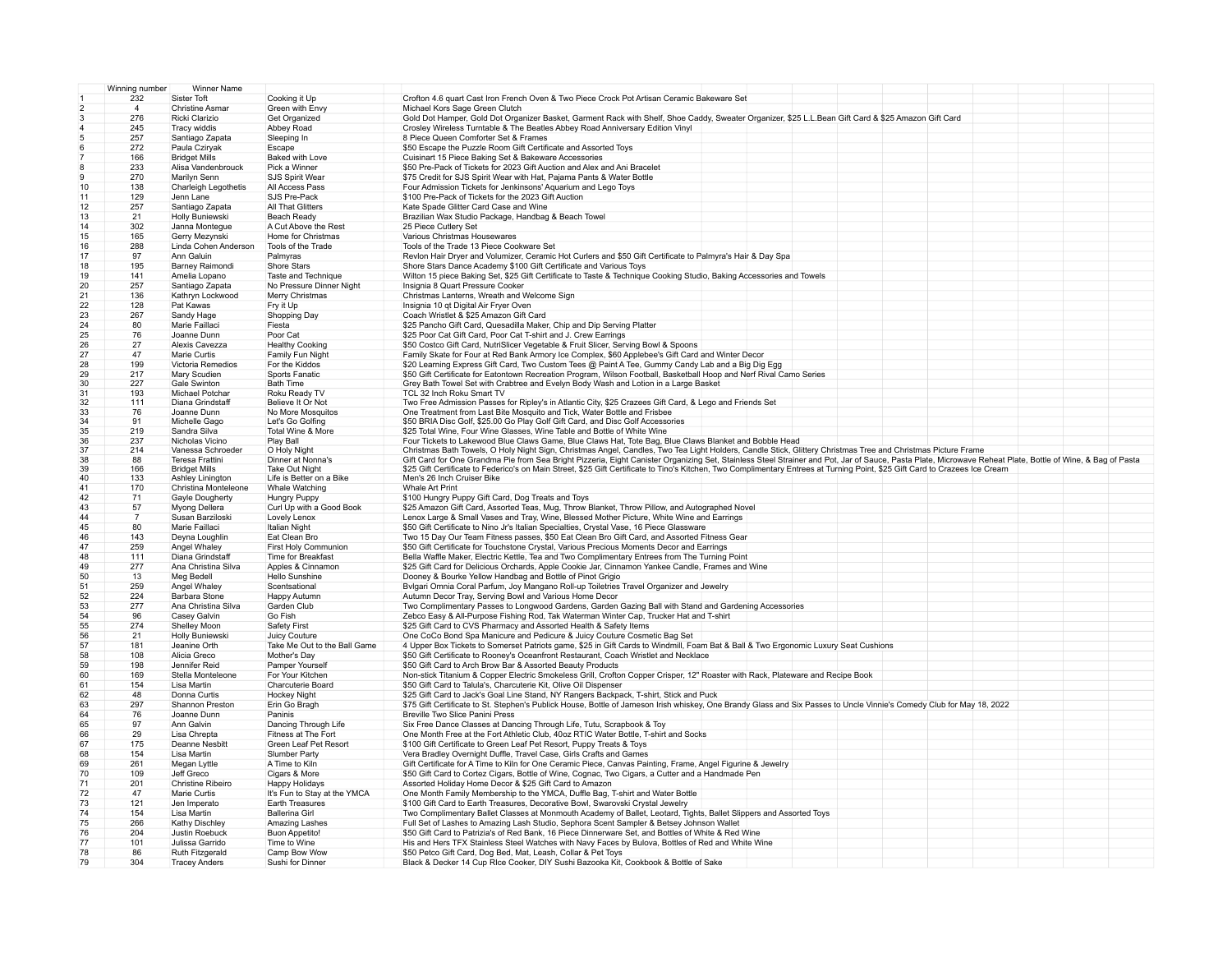|                | Winning number<br>Winner Name |                                         |                                  |                                                                                                                                                                                                            |
|----------------|-------------------------------|-----------------------------------------|----------------------------------|------------------------------------------------------------------------------------------------------------------------------------------------------------------------------------------------------------|
|                | 232                           | Sister Toft                             | Cooking it Up                    | Crofton 4.6 quart Cast Iron French Oven & Two Piece Crock Pot Artisan Ceramic Bakeware Set                                                                                                                 |
| $\overline{2}$ | $\overline{4}$                | <b>Christine Asmar</b>                  | Green with Envy                  | Michael Kors Sage Green Clutch                                                                                                                                                                             |
| 3              | 276                           | Ricki Clarizio                          | Get Organized                    | Gold Dot Hamper, Gold Dot Organizer Basket, Garment Rack with Shelf, Shoe Caddy, Sweater Organizer, \$25 L.L.Bean Gift Card & \$25 Amazon Gift Card                                                        |
| $\overline{4}$ | 245                           | Tracy widdis                            | Abbey Road                       | Crosley Wireless Turntable & The Beatles Abbey Road Anniversary Edition Vinyl                                                                                                                              |
|                | 257                           | Santiago Zapata                         | Sleeping In                      | 8 Piece Queen Comforter Set & Frames                                                                                                                                                                       |
|                | 272                           | Paula Cziryak                           | Escape                           | \$50 Escape the Puzzle Room Gift Certificate and Assorted Toys                                                                                                                                             |
|                | 166                           | <b>Bridget Mills</b>                    | Baked with Love                  | Cuisinart 15 Piece Baking Set & Bakeware Accessories                                                                                                                                                       |
| $\mathbf{R}$   | 233                           | Alisa Vandenbrouck                      | Pick a Winner                    | \$50 Pre-Pack of Tickets for 2023 Gift Auction and Alex and Ani Bracelet                                                                                                                                   |
| 9              | 270                           | Marilyn Senn                            | SJS Spirit Wear                  | \$75 Credit for SJS Spirit Wear with Hat, Pajama Pants & Water Bottle                                                                                                                                      |
| 10             | 138                           | Charleigh Legothetis                    | All Access Pass                  | Four Admission Tickets for Jenkinsons' Aquarium and Lego Toys                                                                                                                                              |
| 11             | 129                           | Jenn Lane                               | SJS Pre-Pack                     | \$100 Pre-Pack of Tickets for the 2023 Gift Auction                                                                                                                                                        |
| 12             | 257                           | Santiago Zapata                         | All That Glitters                | Kate Spade Glitter Card Case and Wine                                                                                                                                                                      |
| 13             | 21                            | Holly Buniewski                         | Beach Ready                      | Brazilian Wax Studio Package, Handbag & Beach Towel                                                                                                                                                        |
| 14             | 302                           | Janna Monteque                          | A Cut Above the Rest             | 25 Piece Cutlery Set                                                                                                                                                                                       |
|                |                               |                                         |                                  |                                                                                                                                                                                                            |
| 15<br>16       | 165<br>288                    | Gerry Mezynski                          | Home for Christmas               | Various Christmas Housewares                                                                                                                                                                               |
|                |                               | Linda Cohen Anderson                    | Tools of the Trade               | Tools of the Trade 13 Piece Cookware Set                                                                                                                                                                   |
| 17             | 97                            | Ann Galuin                              | Palmyras                         | Revlon Hair Dryer and Volumizer, Ceramic Hot Curlers and \$50 Gift Certificate to Palmyra's Hair & Day Spa                                                                                                 |
| 18             | 195                           | <b>Barney Raimondi</b>                  | <b>Shore Stars</b>               | Shore Stars Dance Academy \$100 Gift Certificate and Various Toys                                                                                                                                          |
| 19             | 141                           | Amelia Lopano                           | Taste and Technique              | Wilton 15 piece Baking Set, \$25 Gift Certificate to Taste & Technique Cooking Studio, Baking Accessories and Towels                                                                                       |
| 20             | 257                           | Santiago Zapata                         | No Pressure Dinner Night         | Insignia 8 Quart Pressure Cooker                                                                                                                                                                           |
| 21             | 136                           | Kathryn Lockwood                        | Merry Christmas                  | Christmas Lanterns, Wreath and Welcome Sign                                                                                                                                                                |
| 22             | 128                           | Pat Kawas                               | Fry it Up                        | Insignia 10 qt Digital Air Fryer Oven                                                                                                                                                                      |
| 23             | 267                           | Sandy Hage                              | Shopping Day                     | Coach Wristlet & \$25 Amazon Gift Card                                                                                                                                                                     |
| 24             | 80                            | Marie Faillaci                          | Fiesta                           | \$25 Pancho Gift Card, Quesadilla Maker, Chip and Dip Serving Platter                                                                                                                                      |
| 25             | 76                            | Joanne Dunn                             | Poor Cat                         | \$25 Poor Cat Gift Card, Poor Cat T-shirt and J. Crew Earrings                                                                                                                                             |
| 26             | 27                            | Alexis Cavezza                          | <b>Healthy Cooking</b>           | \$50 Costco Gift Card, NutriSlicer Vegetable & Fruit Slicer, Serving Bowl & Spoons                                                                                                                         |
| 27             | 47                            | Marie Curtis                            | Family Fun Night                 | Family Skate for Four at Red Bank Armory Ice Complex, \$60 Applebee's Gift Card and Winter Decor                                                                                                           |
| 28             | 199                           | Victoria Remedios                       | For the Kiddos                   | \$20 Learning Express Gift Card, Two Custom Tees @ Paint A Tee, Gummy Candy Lab and a Big Dig Egg                                                                                                          |
| 29             | 217                           | Mary Scudien                            | Sports Fanatic                   | \$50 Gift Certificate for Eatontown Recreation Program, Wilson Football, Basketball Hoop and Nerf Rival Camo Series                                                                                        |
| 30             | 227                           | Gale Swinton                            | Bath Time                        | Grey Bath Towel Set with Crabtree and Evelyn Body Wash and Lotion in a Large Basket                                                                                                                        |
| 31             | 193                           | Michael Potchar                         | Roku Ready TV                    | TCL 32 Inch Roku Smart TV                                                                                                                                                                                  |
| 32             | 111                           | Diana Grindstaff                        | Believe It Or Not                | Two Free Admission Passes for Ripley's in Atlantic City, \$25 Crazees Gift Card, & Lego and Friends Set                                                                                                    |
| 33             | 76                            | Joanne Dunn                             | No More Mosquitos                | One Treatment from Last Bite Mosquito and Tick, Water Bottle and Frisbee                                                                                                                                   |
| 34             | 91                            | Michelle Gago                           | Let's Go Golfing                 | \$50 BRIA Disc Golf, \$25.00 Go Play Golf Gift Card, and Disc Golf Accessories                                                                                                                             |
| 35             | 219                           | Sandra Silva                            | Total Wine & More                | \$25 Total Wine, Four Wine Glasses, Wine Table and Bottle of White Wine                                                                                                                                    |
| 36             | 237                           | Nicholas Vicino                         | Play Ball                        | Four Tickets to Lakewood Blue Claws Game, Blue Claws Hat, Tote Bag, Blue Claws Blanket and Bobble Head                                                                                                     |
| 37             | 214                           | Vanessa Schroeder                       | O Holy Night                     | Christmas Bath Towels, O Holy Night Sign, Christmas Angel, Candles, Two Tea Light Holders, Candle Stick, Glittery Christmas Tree and Christmas Picture Frame                                               |
| 38             | 88                            | Teresa Frattini                         | Dinner at Nonna's                | Gift Card for One Grandma Pie from Sea Bright Pizzeria, Eight Canister Organizing Set, Stainless Steel Strainer and Pot, Jar of Sauce, Pasta Plate, Microwave Reheat Plate, Bottle of Wine, & Bag of Pasta |
| 39             | 166                           | <b>Bridget Mills</b>                    | Take Out Night                   | \$25 Gift Certificate to Federico's on Main Street, \$25 Gift Certificate to Tino's Kitchen, Two Complimentary Entrees at Turning Point, \$25 Gift Card to Crazees Ice Cream                               |
| 40             | 133                           | Ashley Linington                        | Life is Better on a Bike         | Men's 26 Inch Cruiser Bike                                                                                                                                                                                 |
| 41             | 170                           | Christina Monteleone                    | Whale Watching                   | Whale Art Print                                                                                                                                                                                            |
| 42             | 71                            | Gayle Dougherty                         | Hungry Puppy                     | \$100 Hungry Puppy Gift Card, Dog Treats and Toys                                                                                                                                                          |
| 43             | 57                            | Myong Dellera                           | Curl Up with a Good Book         | \$25 Amazon Gift Card, Assorted Teas, Mug, Throw Blanket, Throw Pillow, and Autographed Novel                                                                                                              |
| 44             | $\overline{7}$                | Susan Barziloski                        | Lovely Lenox                     | Lenox Large & Small Vases and Tray, Wine, Blessed Mother Picture, White Wine and Earrings                                                                                                                  |
| 45             | 80                            | Marie Faillaci                          | Italian Night                    | \$50 Gift Certificate to Nino Jr's Italian Specialties, Crystal Vase, 16 Piece Glassware                                                                                                                   |
| 46             | 143                           | Deyna Loughlin                          | Eat Clean Bro                    | Two 15 Day Our Team Fitness passes, \$50 Eat Clean Bro Gift Card, and Assorted Fitness Gear                                                                                                                |
| 47             | 259                           | Angel Whaley                            | First Holy Communion             | \$50 Gift Certificate for Touchstone Crystal, Various Precious Moments Decor and Earrings                                                                                                                  |
| 48             | 111                           | Diana Grindstaff                        | Time for Breakfast               | Bella Waffle Maker, Electric Kettle, Tea and Two Complimentary Entrees from The Turning Point                                                                                                              |
| 49             |                               |                                         |                                  |                                                                                                                                                                                                            |
|                | 277                           | Ana Christina Silva                     | Apples & Cinnamon                | \$25 Gift Card for Delicious Orchards, Apple Cookie Jar, Cinnamon Yankee Candle, Frames and Wine                                                                                                           |
| 50             | 13                            | Meg Bedell                              | Hello Sunshine                   | Dooney & Bourke Yellow Handbag and Bottle of Pinot Grigio                                                                                                                                                  |
| 51             | 259                           | Angel Whaley                            | Scentsational                    | Bvlgari Omnia Coral Parfum, Joy Mangano Roll-up Toiletries Travel Organizer and Jewelry                                                                                                                    |
| 52             | 224                           | Barbara Stone                           | Happy Autumn                     | Autumn Decor Tray, Serving Bowl and Various Home Decor                                                                                                                                                     |
| 53             | 277                           | Ana Christina Silva                     | Garden Club                      | Two Complimentary Passes to Longwood Gardens, Garden Gazing Ball with Stand and Gardening Accessories                                                                                                      |
| 54             | 96                            | Casey Galvin                            | Go Fish                          | Zebco Easy & All-Purpose Fishing Rod, Tak Waterman Winter Cap, Trucker Hat and T-shirt                                                                                                                     |
| 55             | 274                           | Shelley Moon                            | Safety First                     | \$25 Gift Card to CVS Pharmacy and Assorted Health & Safety Items                                                                                                                                          |
| 56             | 21                            | Holly Buniewski                         | Juicy Couture                    | One CoCo Bond Spa Manicure and Pedicure & Juicy Couture Cosmetic Bag Set                                                                                                                                   |
| 57             | 181                           | Jeanine Orth                            | Take Me Out to the Ball Game     | 4 Upper Box Tickets to Somerset Patriots game, \$25 in Gift Cards to Windmill, Foam Bat & Ball & Two Ergonomic Luxury Seat Cushions                                                                        |
| 58             | 108                           | Alicia Greco                            | Mother's Day                     | \$50 Gift Certificate to Rooney's Oceanfront Restaurant, Coach Wristlet and Necklace                                                                                                                       |
| 59             | 198                           | Jennifer Reid                           | Pamper Yourself                  | \$50 Gift Card to Arch Brow Bar & Assorted Beauty Products                                                                                                                                                 |
| 60             | 169                           | Stella Monteleone                       | For Your Kitchen                 | Non-stick Titanium & Copper Electric Smokeless Grill, Crofton Copper Crisper, 12" Roaster with Rack, Plateware and Recipe Book                                                                             |
| 61             | 154                           | Lisa Martin                             | Charcuterie Board                | \$50 Gift Card to Talula's, Charcuterie Kit, Olive Oil Dispenser                                                                                                                                           |
| 62             | 48                            | Donna Curtis                            | <b>Hockey Night</b>              | \$25 Gift Card to Jack's Goal Line Stand, NY Rangers Backpack, T-shirt, Stick and Puck                                                                                                                     |
| 63             | 297                           | Shannon Preston                         | Erin Go Bragh                    | \$75 Gift Certificate to St. Stephen's Publick House, Bottle of Jameson Irish whiskey, One Brandy Glass and Six Passes to Uncle Vinnie's Comedy Club for May 18, 2022                                      |
| 64             | 76                            |                                         |                                  |                                                                                                                                                                                                            |
| 65             |                               | Joanne Dunn                             | Paninis                          | Breville Two Slice Panini Press                                                                                                                                                                            |
| 66             | 97                            | Ann Galvin                              | Dancing Through Life             |                                                                                                                                                                                                            |
| 67             |                               |                                         |                                  | Six Free Dance Classes at Dancing Through Life, Tutu, Scrapbook & Toy                                                                                                                                      |
|                | 29                            | Lisa Chrepta                            | Fitness at The Fort              | One Month Free at the Fort Athletic Club, 40oz RTIC Water Bottle, T-shirt and Socks                                                                                                                        |
|                | 175                           | <b>Deanne Nesbitt</b>                   | Green Leaf Pet Resort            | \$100 Gift Certificate to Green Leaf Pet Resort, Puppy Treats & Toys                                                                                                                                       |
| 68             | 154                           | Lisa Martin                             | Slumber Party                    | Vera Bradley Overnight Duffle, Travel Case, Girls Crafts and Games                                                                                                                                         |
| 69             | 261                           | Megan Lyttle                            | A Time to Kiln                   | Gift Certificate for A Time to Kiln for One Ceramic Piece, Canvas Painting, Frame, Angel Figurine & Jewelry                                                                                                |
| 70             | 109                           | Jeff Greco                              | Cigars & More                    | \$50 Gift Card to Cortez Cigars, Bottle of Wine, Cognac, Two Cigars, a Cutter and a Handmade Pen                                                                                                           |
| 71             | 201                           | Christine Ribeiro                       | Happy Holidays                   | Assorted Holiday Home Decor & \$25 Gift Card to Amazon                                                                                                                                                     |
| 72             | 47                            | Marie Curtis                            | It's Fun to Stay at the YMCA     | One Month Family Membership to the YMCA, Duffle Bag, T-shirt and Water Bottle                                                                                                                              |
| 73             | 121                           | Jen Imperato                            | Earth Treasures                  | \$100 Gift Card to Earth Treasures, Decorative Bowl, Swarovski Crystal Jewelry                                                                                                                             |
| 74             | 154                           | Lisa Martin                             | <b>Ballerina Girl</b>            | Two Complimentary Ballet Classes at Monmouth Academy of Ballet, Leotard, Tights, Ballet Slippers and Assorted Toys                                                                                         |
| 75             | 266                           | Kathy Dischley                          | Amazing Lashes                   | Full Set of Lashes to Amazing Lash Studio, Sephora Scent Sampler & Betsey Johnson Wallet                                                                                                                   |
| 76             | 204                           | Justin Roebuck                          | <b>Buon Appetito!</b>            | \$50 Gift Card to Patrizia's of Red Bank, 16 Piece Dinnerware Set, and Bottles of White & Red Wine                                                                                                         |
| 77             | 101                           | Julissa Garrido                         | Time to Wine                     | His and Hers TFX Stainless Steel Watches with Navy Faces by Bulova, Bottles of Red and White Wine                                                                                                          |
| 78<br>79       | 86<br>304                     | Ruth Fitzgerald<br><b>Tracey Anders</b> | Camp Bow Wow<br>Sushi for Dinner | \$50 Petco Gift Card, Dog Bed, Mat, Leash, Collar & Pet Toys<br>Black & Decker 14 Cup RIce Cooker, DIY Sushi Bazooka Kit, Cookbook & Bottle of Sake                                                        |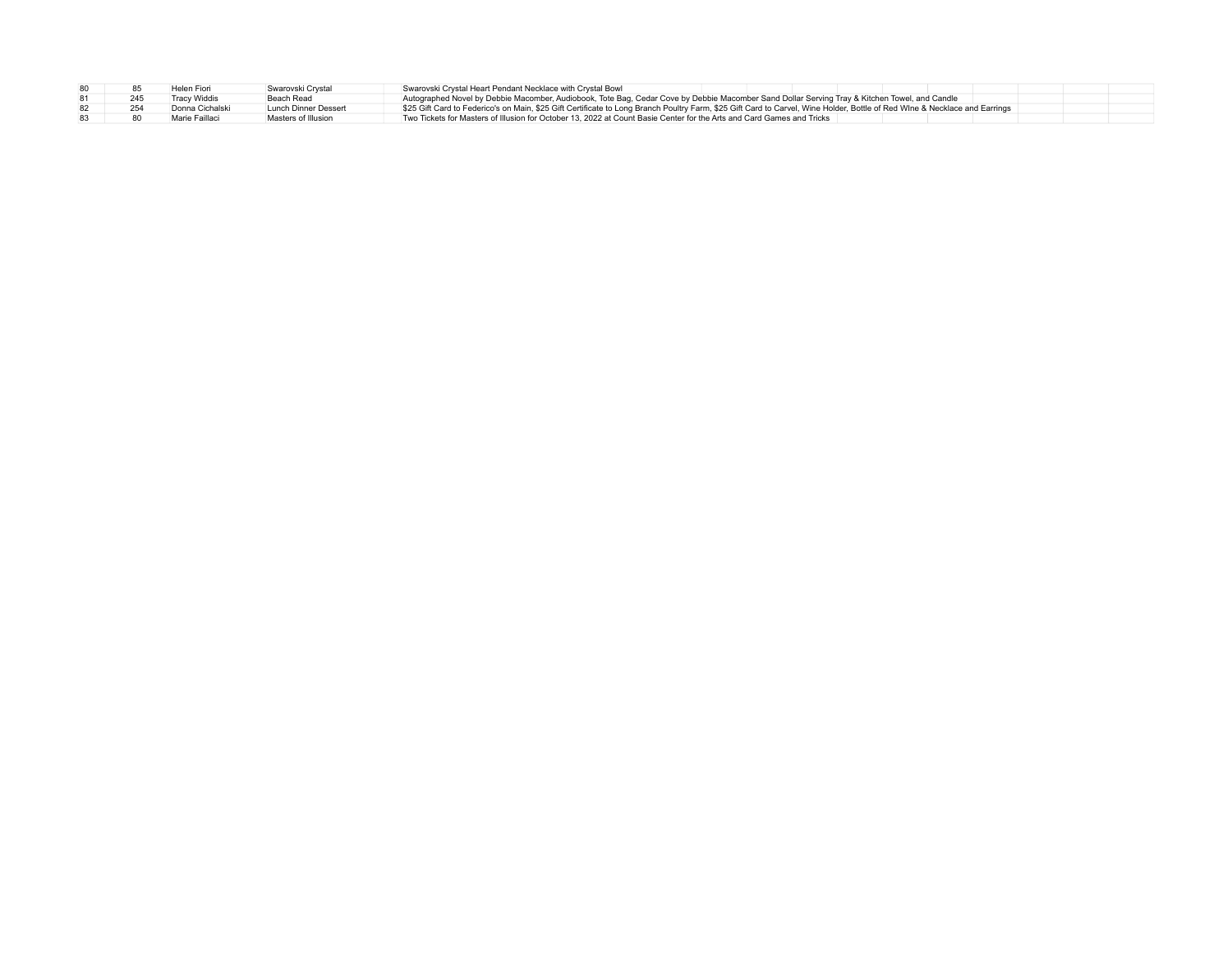|  |     | Helen Fiori     | Swarovski Crystal    | Swarovski Crystal Heart Pendant Necklace with Crystal Bowl                                                                                                                 |  |  |  |
|--|-----|-----------------|----------------------|----------------------------------------------------------------------------------------------------------------------------------------------------------------------------|--|--|--|
|  |     | Tracy Widdis    | Beach Read           | Autographed Novel by Debbie Macomber, Audiobook, Tote Bag, Cedar Cove by Debbie Macomber Sand Dollar Serving Tray & Kitchen Towel, and Candle                              |  |  |  |
|  | 254 | Donna Cichalski | Lunch Dinner Dessert | \$25 Gift Card to Federico's on Main, \$25 Gift Certificate to Long Branch Poultry Farm, \$25 Gift Card to Carvel, Wine Holder, Bottle of Red Wine & Necklace and Earrings |  |  |  |
|  |     | Marie Faillaci  | Masters of Illusion  | Two Tickets for Masters of Illusion for October 13, 2022 at Count Basie Center for the Arts and Card Games and Tricks                                                      |  |  |  |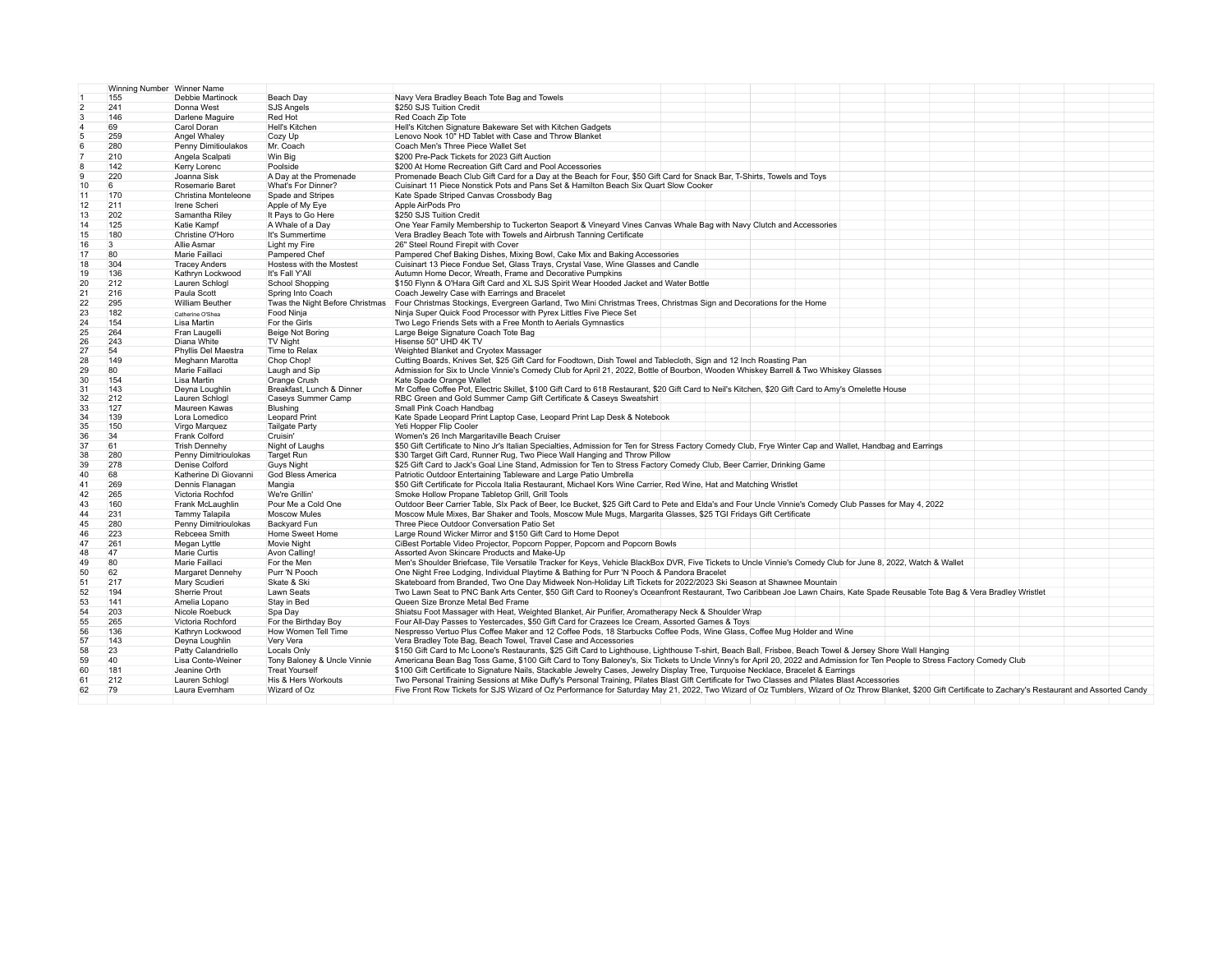|                | Winning Number Winner Name |                        |                                 |                                                                                                                                                                                                             |
|----------------|----------------------------|------------------------|---------------------------------|-------------------------------------------------------------------------------------------------------------------------------------------------------------------------------------------------------------|
|                | 155                        | Debbie Martinock       | Beach Day                       | Navy Vera Bradley Beach Tote Bag and Towels                                                                                                                                                                 |
| $\overline{2}$ | 241                        | Donna West             | SJS Angels                      | \$250 SJS Tuition Credit                                                                                                                                                                                    |
| 3              | 146                        | Darlene Maguire        | Red Hot                         | Red Coach Zip Tote                                                                                                                                                                                          |
|                | 69                         | Carol Doran            | Hell's Kitchen                  | Hell's Kitchen Signature Bakeware Set with Kitchen Gadgets                                                                                                                                                  |
|                | 259                        | Angel Whaley           | Cozy Up                         | Lenovo Nook 10" HD Tablet with Case and Throw Blanket                                                                                                                                                       |
|                | 280                        | Penny Dimitioulakos    | Mr. Coach                       | Coach Men's Three Piece Wallet Set                                                                                                                                                                          |
|                | 210                        | Angela Scalpati        | Win Big                         | \$200 Pre-Pack Tickets for 2023 Gift Auction                                                                                                                                                                |
|                | 142                        | Kerry Lorenc           | Poolside                        | \$200 At Home Recreation Gift Card and Pool Accessories                                                                                                                                                     |
|                | 220                        | Joanna Sisk            | A Day at the Promenade          | Promenade Beach Club Gift Card for a Day at the Beach for Four, \$50 Gift Card for Snack Bar, T-Shirts, Towels and Toys                                                                                     |
| 10             | 6                          | Rosemarie Baret        | What's For Dinner?              | Cuisinart 11 Piece Nonstick Pots and Pans Set & Hamilton Beach Six Quart Slow Cooker                                                                                                                        |
| 11             | 170                        | Christina Monteleone   | Spade and Stripes               | Kate Spade Striped Canvas Crossbody Bag                                                                                                                                                                     |
| 12             | 211                        | Irene Scheri           | Apple of My Eye                 | Apple AirPods Pro                                                                                                                                                                                           |
| 13             | 202                        | Samantha Riley         | It Pays to Go Here              | \$250 SJS Tuition Credit                                                                                                                                                                                    |
| 14             | 125                        | Katie Kampf            | A Whale of a Day                | One Year Family Membership to Tuckerton Seaport & Vineyard Vines Canvas Whale Bag with Navy Clutch and Accessories                                                                                          |
| 15             | 180                        | Christine O'Horo       | It's Summertime                 | Vera Bradley Beach Tote with Towels and Airbrush Tanning Certificate                                                                                                                                        |
| 16             | 3                          | Allie Asmar            | Light my Fire                   | 26" Steel Round Firepit with Cover                                                                                                                                                                          |
| 17             | 80                         | Marie Faillaci         | Pampered Chef                   | Pampered Chef Baking Dishes, Mixing Bowl, Cake Mix and Baking Accessories                                                                                                                                   |
| 18             | 304                        | <b>Tracey Anders</b>   | Hostess with the Mostest        | Cuisinart 13 Piece Fondue Set, Glass Trays, Crystal Vase, Wine Glasses and Candle                                                                                                                           |
| 19             | 136                        | Kathryn Lockwood       | It's Fall Y'All                 | Autumn Home Decor, Wreath, Frame and Decorative Pumpkins                                                                                                                                                    |
| 20             | 212                        | Lauren Schlogl         | <b>School Shopping</b>          | \$150 Flynn & O'Hara Gift Card and XL SJS Spirit Wear Hooded Jacket and Water Bottle                                                                                                                        |
| 21             | 216                        | Paula Scott            | Spring Into Coach               | Coach Jewelry Case with Earrings and Bracelet                                                                                                                                                               |
| 22             | 295                        | <b>William Beuther</b> | Twas the Night Before Christmas | Four Christmas Stockings, Evergreen Garland, Two Mini Christmas Trees, Christmas Sign and Decorations for the Home                                                                                          |
| 23             | 182                        | Catherine O'Shea       | Food Ninja                      | Ninja Super Quick Food Processor with Pyrex Littles Five Piece Set                                                                                                                                          |
| 24             | 154                        | Lisa Martin            | For the Girls                   | Two Lego Friends Sets with a Free Month to Aerials Gymnastics                                                                                                                                               |
| 25             | 264                        | Fran Laugelli          | Beige Not Boring                | Large Beige Signature Coach Tote Bag                                                                                                                                                                        |
| 26             | 243                        | Diana White            | <b>TV Night</b>                 | Hisense 50" UHD 4K TV                                                                                                                                                                                       |
| 27             | 54                         | Phyllis Del Maestra    | Time to Relax                   | Weighted Blanket and Cryotex Massager                                                                                                                                                                       |
| 28             | 149                        | Meghann Marotta        | Chop Chop!                      | Cutting Boards, Knives Set, \$25 Gift Card for Foodtown, Dish Towel and Tablecloth, Sign and 12 Inch Roasting Pan                                                                                           |
| 29             | 80                         | Marie Faillaci         | Laugh and Sip                   | Admission for Six to Uncle Vinnie's Comedy Club for April 21, 2022, Bottle of Bourbon, Wooden Whiskey Barrell & Two Whiskey Glasses                                                                         |
| 30             | 154                        | Lisa Martin            | Orange Crush                    | Kate Spade Orange Wallet                                                                                                                                                                                    |
| 31             | 143                        | Deyna Loughlin         | Breakfast, Lunch & Dinner       | Mr Coffee Coffee Pot, Electric Skillet, \$100 Gift Card to 618 Restaurant, \$20 Gift Card to Neil's Kitchen, \$20 Gift Card to Amy's Omelette House                                                         |
| 32             | 212                        | Lauren Schlogl         | Caseys Summer Camp              | RBC Green and Gold Summer Camp Gift Certificate & Caseys Sweatshirt                                                                                                                                         |
| 33             | 127                        | Maureen Kawas          | Blushing                        | Small Pink Coach Handbag                                                                                                                                                                                    |
| 34             | 139                        | Lora Lomedico          | <b>Leopard Print</b>            | Kate Spade Leopard Print Laptop Case, Leopard Print Lap Desk & Notebook                                                                                                                                     |
| 35             | 150                        | Virgo Marquez          | <b>Tailgate Party</b>           | Yeti Hopper Flip Cooler                                                                                                                                                                                     |
| 36             | 34                         | Frank Colford          | Cruisin'                        | Women's 26 Inch Margaritaville Beach Cruiser                                                                                                                                                                |
| 37             | 61                         | <b>Trish Dennehy</b>   | Night of Laughs                 | \$50 Gift Certificate to Nino Jr's Italian Specialties, Admission for Ten for Stress Factory Comedy Club, Frye Winter Cap and Wallet, Handbag and Earrings                                                  |
| 38             | 280                        | Penny Dimitrioulokas   | <b>Target Run</b>               | \$30 Target Gift Card, Runner Rug, Two Piece Wall Hanging and Throw Pillow                                                                                                                                  |
| 39             | 278                        | Denise Colford         | <b>Guys Night</b>               | \$25 Gift Card to Jack's Goal Line Stand, Admission for Ten to Stress Factory Comedy Club, Beer Carrier, Drinking Game                                                                                      |
| 40             | 68                         | Katherine Di Giovanni  | <b>God Bless America</b>        | Patriotic Outdoor Entertaining Tableware and Large Patio Umbrella                                                                                                                                           |
| 41             | 269                        | Dennis Flanagan        | Mangia                          | \$50 Gift Certificate for Piccola Italia Restaurant, Michael Kors Wine Carrier, Red Wine, Hat and Matching Wristlet                                                                                         |
| 42             | 265                        | Victoria Rochfod       | We're Grillin'                  | Smoke Hollow Propane Tabletop Grill, Grill Tools                                                                                                                                                            |
| 43             | 160                        | Frank McLaughlin       | Pour Me a Cold One              | Outdoor Beer Carrier Table, SIx Pack of Beer, Ice Bucket, \$25 Gift Card to Pete and Elda's and Four Uncle Vinnie's Comedy Club Passes for May 4, 2022                                                      |
| 44             | 231                        | Tammy Talapila         | <b>Moscow Mules</b>             | Moscow Mule Mixes, Bar Shaker and Tools, Moscow Mule Mugs, Margarita Glasses, \$25 TGI Fridays Gift Certificate                                                                                             |
| 45             | 280                        | Penny Dimitrioulokas   | Backyard Fun                    | Three Piece Outdoor Conversation Patio Set                                                                                                                                                                  |
| 46             | 223                        | Rebceea Smith          | Home Sweet Home                 | Large Round Wicker Mirror and \$150 Gift Card to Home Depot                                                                                                                                                 |
| 47             | 261                        | Megan Lyttle           | Movie Night                     | CiBest Portable Video Projector, Popcorn Popper, Popcorn and Popcorn Bowls                                                                                                                                  |
| 48             | 47                         | <b>Marie Curtis</b>    | Avon Calling!                   | Assorted Avon Skincare Products and Make-Up                                                                                                                                                                 |
| 49             | 80                         | Marie Faillaci         | For the Men                     | Men's Shoulder Briefcase, Tile Versatile Tracker for Keys, Vehicle BlackBox DVR, Five Tickets to Uncle Vinnie's Comedy Club for June 8, 2022, Watch & Wallet                                                |
| 50             | 62                         | Margaret Dennehy       | Purr 'N Pooch                   | One Night Free Lodging, Individual Playtime & Bathing for Purr 'N Pooch & Pandora Bracelet                                                                                                                  |
| 51             | 217                        | Mary Scudieri          | Skate & Ski                     | Skateboard from Branded, Two One Day Midweek Non-Holiday Lift Tickets for 2022/2023 Ski Season at Shawnee Mountain                                                                                          |
| 52             | 194                        | <b>Sherrie Prout</b>   | Lawn Seats                      | Two Lawn Seat to PNC Bank Arts Center, \$50 Gift Card to Rooney's Oceanfront Restaurant, Two Caribbean Joe Lawn Chairs, Kate Spade Reusable Tote Bag & Vera Bradley Wristlet                                |
| 53             | 141                        | Amelia Lopano          | Stay in Bed                     | Queen Size Bronze Metal Bed Frame                                                                                                                                                                           |
| 54             | 203                        | Nicole Roebuck         | Spa Day                         | Shiatsu Foot Massager with Heat, Weighted Blanket, Air Purifier, Aromatherapy Neck & Shoulder Wrap                                                                                                          |
| 55             | 265                        | Victoria Rochford      | For the Birthday Boy            | Four All-Day Passes to Yestercades, \$50 Gift Card for Crazees Ice Cream, Assorted Games & Toys                                                                                                             |
| 56             | 136                        | Kathryn Lockwood       | How Women Tell Time             | Nespresso Vertuo Plus Coffee Maker and 12 Coffee Pods, 18 Starbucks Coffee Pods, Wine Glass, Coffee Mug Holder and Wine                                                                                     |
| 57             | 143                        | Deyna Loughlin         | Very Vera                       | Vera Bradley Tote Bag, Beach Towel, Travel Case and Accessories                                                                                                                                             |
| 58             | 23                         | Patty Calandriello     | Locals Only                     | \$150 Gift Card to Mc Loone's Restaurants, \$25 Gift Card to Lighthouse, Lighthouse T-shirt, Beach Ball, Frisbee, Beach Towel & Jersey Shore Wall Hanging                                                   |
| 59             | 40                         | Lisa Conte-Weiner      | Tony Baloney & Uncle Vinnie     | Americana Bean Bag Toss Game, \$100 Gift Card to Tony Baloney's, Six Tickets to Uncle Vinny's for April 20, 2022 and Admission for Ten People to Stress Factory Comedy Club                                 |
| 60             | 181                        | Jeanine Orth           | <b>Treat Yourself</b>           | \$100 Gift Certificate to Signature Nails, Stackable Jewelry Cases, Jewelry Display Tree, Turquoise Necklace, Bracelet & Earrings                                                                           |
| 61             | 212                        | Lauren Schlogl         | His & Hers Workouts             | Two Personal Training Sessions at Mike Duffy's Personal Training, Pilates Blast Glft Certificate for Two Classes and Pilates Blast Accessories                                                              |
| 62             | 79                         | Laura Evernham         | Wizard of Oz                    | Five Front Row Tickets for SJS Wizard of Oz Performance for Saturday May 21, 2022, Two Wizard of Oz Tumblers, Wizard of Oz Throw Blanket, \$200 Gift Certificate to Zachary's Restaurant and Assorted Candy |
|                |                            |                        |                                 |                                                                                                                                                                                                             |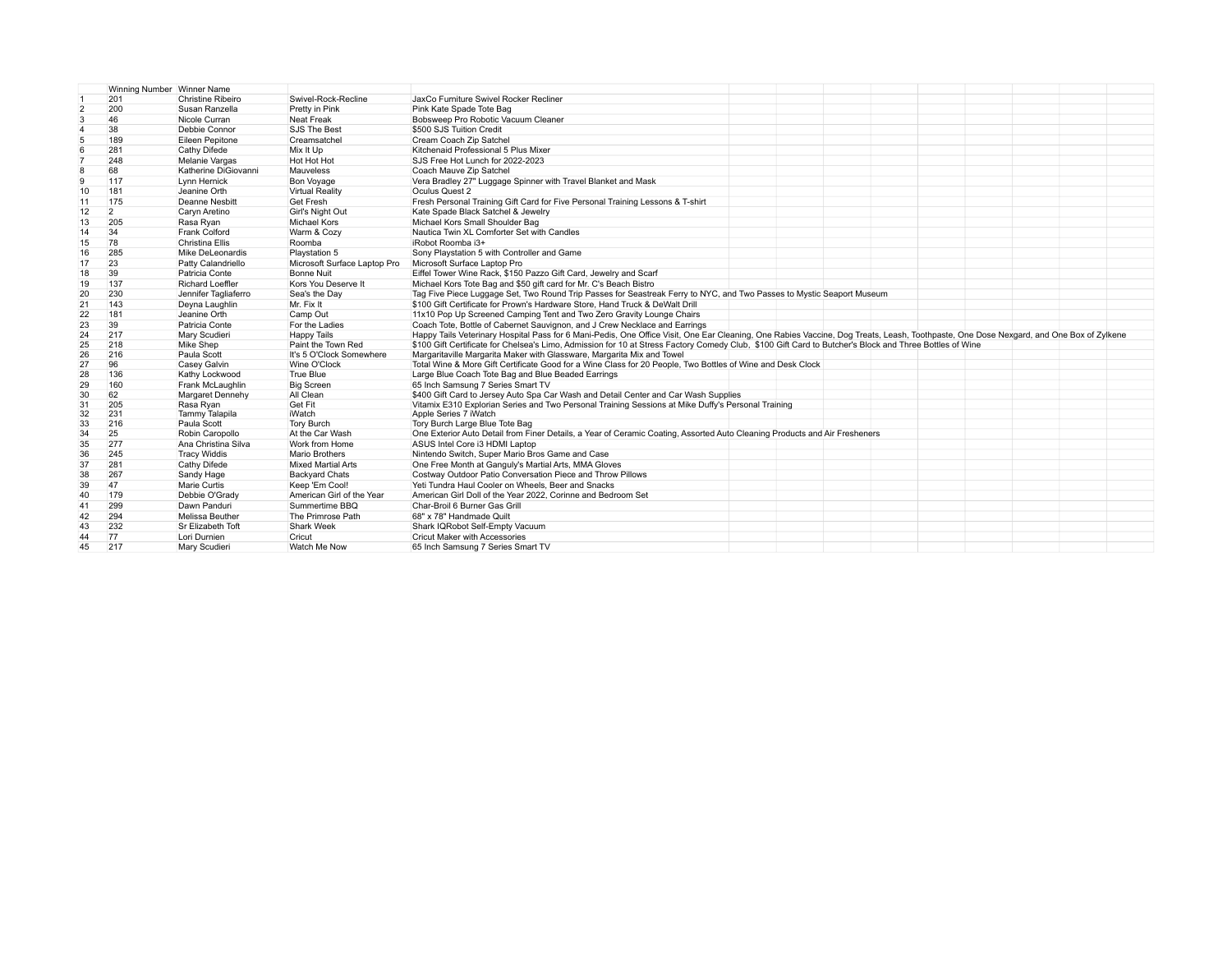|                | Winning Number Winner Name |                                      |                                          |                                                                                                                                                                                        |
|----------------|----------------------------|--------------------------------------|------------------------------------------|----------------------------------------------------------------------------------------------------------------------------------------------------------------------------------------|
|                | 201                        | <b>Christine Ribeiro</b>             | Swivel-Rock-Recline                      | JaxCo Furniture Swivel Rocker Recliner                                                                                                                                                 |
| $\overline{2}$ | 200                        | Susan Ranzella                       | Pretty in Pink                           | Pink Kate Spade Tote Bag                                                                                                                                                               |
| 3              | 46                         | Nicole Curran                        | Neat Freak                               | Bobsweep Pro Robotic Vacuum Cleaner                                                                                                                                                    |
|                | 38                         | Debbie Connor                        | SJS The Best                             | \$500 SJS Tuition Credit                                                                                                                                                               |
| 5              | 189                        | Eileen Pepitone                      | Creamsatchel                             | Cream Coach Zip Satchel                                                                                                                                                                |
| 6              | 281                        | Cathy Difede                         | Mix It Up                                | Kitchenaid Professional 5 Plus Mixer                                                                                                                                                   |
|                | 248                        | Melanie Vargas                       | Hot Hot Hot                              | SJS Free Hot Lunch for 2022-2023                                                                                                                                                       |
| 8              | 68                         | Katherine DiGiovanni                 | Mauveless                                | Coach Mauve Zip Satchel                                                                                                                                                                |
| 9              | 117                        | Lynn Hernick                         | <b>Bon Voyage</b>                        | Vera Bradley 27" Luggage Spinner with Travel Blanket and Mask                                                                                                                          |
| 10             | 181                        | Jeanine Orth                         | <b>Virtual Reality</b>                   | Oculus Quest 2                                                                                                                                                                         |
| 11             | 175                        | Deanne Nesbitt                       | <b>Get Fresh</b>                         | Fresh Personal Training Gift Card for Five Personal Training Lessons & T-shirt                                                                                                         |
| 12             | $\overline{2}$             | Caryn Aretino                        | Girl's Night Out                         | Kate Spade Black Satchel & Jewelry                                                                                                                                                     |
| 13             | 205                        | Rasa Ryan                            | Michael Kors                             | Michael Kors Small Shoulder Bag                                                                                                                                                        |
| 14             | 34                         | Frank Colford                        | Warm & Cozy                              | Nautica Twin XL Comforter Set with Candles                                                                                                                                             |
| 15             | 78                         | <b>Christina Ellis</b>               | Roomba                                   | iRobot Roomba i3+                                                                                                                                                                      |
| 16             | 285                        | Mike DeLeonardis                     | Playstation 5                            | Sony Playstation 5 with Controller and Game                                                                                                                                            |
| 17             | 23                         | Patty Calandriello                   | Microsoft Surface Laptop Pro             | Microsoft Surface Laptop Pro                                                                                                                                                           |
| 18             | 39                         | Patricia Conte                       | <b>Bonne Nuit</b>                        | Eiffel Tower Wine Rack, \$150 Pazzo Gift Card, Jewelry and Scarf                                                                                                                       |
| 19             | 137                        | <b>Richard Loeffler</b>              | Kors You Deserve It                      | Michael Kors Tote Bag and \$50 gift card for Mr. C's Beach Bistro                                                                                                                      |
| 20             | 230                        | Jennifer Tagliaferro                 | Sea's the Day                            | Tag Five Piece Luggage Set, Two Round Trip Passes for Seastreak Ferry to NYC, and Two Passes to Mystic Seaport Museum                                                                  |
|                | 143                        | Deyna Laughlin                       | Mr. Fix It                               | \$100 Gift Certificate for Prown's Hardware Store, Hand Truck & DeWalt Drill                                                                                                           |
| 21             |                            | Jeanine Orth                         |                                          |                                                                                                                                                                                        |
| 22             | 181                        |                                      | Camp Out                                 | 11x10 Pop Up Screened Camping Tent and Two Zero Gravity Lounge Chairs                                                                                                                  |
| 23             | 39                         | Patricia Conte                       | For the Ladies                           | Coach Tote, Bottle of Cabernet Sauvignon, and J Crew Necklace and Earrings                                                                                                             |
| 24             | 217                        | Mary Scudieri                        | <b>Happy Tails</b>                       | Happy Tails Veterinary Hospital Pass for 6 Mani-Pedis, One Office Visit, One Ear Cleaning, One Rabies Vaccine, Dog Treats, Leash, Toothpaste, One Dose Nexgard, and One Box of Zylkene |
| 25             | 218                        | Mike Shep                            | Paint the Town Red                       | \$100 Gift Certificate for Chelsea's Limo. Admission for 10 at Stress Factory Comedy Club. \$100 Gift Card to Butcher's Block and Three Bottles of Wine                                |
| 26             | 216<br>96                  | Paula Scott                          | It's 5 O'Clock Somewhere<br>Wine O'Clock | Margaritaville Margarita Maker with Glassware, Margarita Mix and Towel                                                                                                                 |
| 27             |                            | Casey Galvin                         | True Blue                                | Total Wine & More Gift Certificate Good for a Wine Class for 20 People, Two Bottles of Wine and Desk Clock                                                                             |
| 28             | 136                        | Kathy Lockwood                       |                                          | Large Blue Coach Tote Bag and Blue Beaded Earrings<br>65 Inch Samsung 7 Series Smart TV                                                                                                |
| 29             | 160                        | Frank McLaughlin<br>Margaret Dennehy | <b>Big Screen</b><br>All Clean           | \$400 Gift Card to Jersey Auto Spa Car Wash and Detail Center and Car Wash Supplies                                                                                                    |
| 30<br>31       | 62<br>205                  | Rasa Ryan                            | Get Fit                                  | Vitamix E310 Explorian Series and Two Personal Training Sessions at Mike Duffy's Personal Training                                                                                     |
| 32             | 231                        | Tammy Talapila                       | iWatch                                   | Apple Series 7 iWatch                                                                                                                                                                  |
| 33             | 216                        | Paula Scott                          | <b>Tory Burch</b>                        | Tory Burch Large Blue Tote Bag                                                                                                                                                         |
| 34             | 25                         | Robin Caropollo                      | At the Car Wash                          | One Exterior Auto Detail from Finer Details, a Year of Ceramic Coating, Assorted Auto Cleaning Products and Air Fresheners                                                             |
| 35             | 277                        | Ana Christina Silva                  | Work from Home                           | ASUS Intel Core i3 HDMI Laptop                                                                                                                                                         |
| 36             | 245                        | <b>Tracy Widdis</b>                  | <b>Mario Brothers</b>                    | Nintendo Switch, Super Mario Bros Game and Case                                                                                                                                        |
| 37             | 281                        | Cathy Difede                         | <b>Mixed Martial Arts</b>                | One Free Month at Ganguly's Martial Arts, MMA Gloves                                                                                                                                   |
| 38             | 267                        | Sandy Hage                           | <b>Backyard Chats</b>                    | Costway Outdoor Patio Conversation Piece and Throw Pillows                                                                                                                             |
|                | 47                         |                                      |                                          |                                                                                                                                                                                        |
| 39             | 179                        | Marie Curtis                         | Keep 'Em Cool!                           | Yeti Tundra Haul Cooler on Wheels, Beer and Snacks                                                                                                                                     |
| 40             |                            | Debbie O'Grady                       | American Girl of the Year                | American Girl Doll of the Year 2022, Corinne and Bedroom Set                                                                                                                           |
| 41             | 299                        | Dawn Panduri                         | Summertime BBQ                           | Char-Broil 6 Burner Gas Grill                                                                                                                                                          |
| 42             | 294                        | <b>Melissa Beuther</b>               | The Primrose Path                        | 68" x 78" Handmade Quilt                                                                                                                                                               |
| 43             | 232                        | Sr Elizabeth Toft                    | Shark Week                               | Shark IQRobot Self-Empty Vacuum                                                                                                                                                        |
| 44             | 77                         | Lori Durnien                         | Cricut                                   | <b>Cricut Maker with Accessories</b>                                                                                                                                                   |
| 45             | 217                        | Mary Scudieri                        | Watch Me Now                             | 65 Inch Samsung 7 Series Smart TV                                                                                                                                                      |